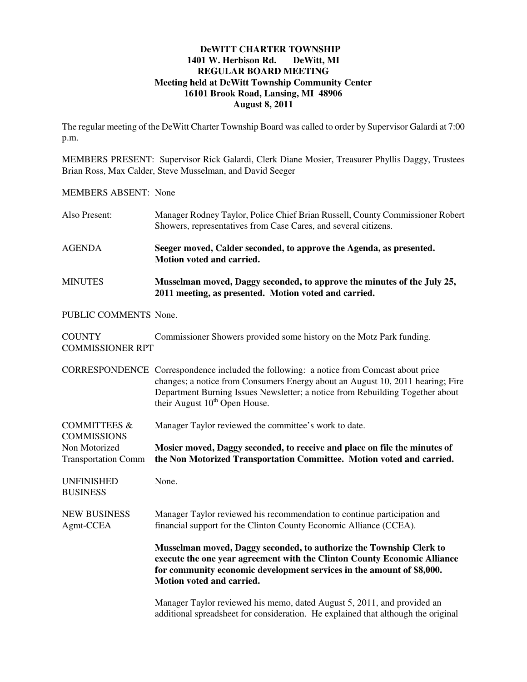## **DeWITT CHARTER TOWNSHIP**<br>**11 W. Herbison Rd.** DeWitt, MI **1401 W. Herbison Rd. REGULAR BOARD MEETING Meeting held at DeWitt Township Community Center 16101 Brook Road, Lansing, MI 48906 August 8, 2011**

The regular meeting of the DeWitt Charter Township Board was called to order by Supervisor Galardi at 7:00 p.m.

MEMBERS PRESENT: Supervisor Rick Galardi, Clerk Diane Mosier, Treasurer Phyllis Daggy, Trustees Brian Ross, Max Calder, Steve Musselman, and David Seeger

## MEMBERS ABSENT: None

| Also Present:                                 | Manager Rodney Taylor, Police Chief Brian Russell, County Commissioner Robert<br>Showers, representatives from Case Cares, and several citizens.                                                                                                                                                        |
|-----------------------------------------------|---------------------------------------------------------------------------------------------------------------------------------------------------------------------------------------------------------------------------------------------------------------------------------------------------------|
| <b>AGENDA</b>                                 | Seeger moved, Calder seconded, to approve the Agenda, as presented.<br>Motion voted and carried.                                                                                                                                                                                                        |
| <b>MINUTES</b>                                | Musselman moved, Daggy seconded, to approve the minutes of the July 25,<br>2011 meeting, as presented. Motion voted and carried.                                                                                                                                                                        |
| PUBLIC COMMENTS None.                         |                                                                                                                                                                                                                                                                                                         |
| <b>COUNTY</b><br><b>COMMISSIONER RPT</b>      | Commissioner Showers provided some history on the Motz Park funding.                                                                                                                                                                                                                                    |
|                                               | CORRESPONDENCE Correspondence included the following: a notice from Comcast about price<br>changes; a notice from Consumers Energy about an August 10, 2011 hearing; Fire<br>Department Burning Issues Newsletter; a notice from Rebuilding Together about<br>their August 10 <sup>th</sup> Open House. |
| <b>COMMITTEES &amp;</b><br><b>COMMISSIONS</b> | Manager Taylor reviewed the committee's work to date.                                                                                                                                                                                                                                                   |
| Non Motorized<br><b>Transportation Comm</b>   | Mosier moved, Daggy seconded, to receive and place on file the minutes of<br>the Non Motorized Transportation Committee. Motion voted and carried.                                                                                                                                                      |
| <b>UNFINISHED</b><br><b>BUSINESS</b>          | None.                                                                                                                                                                                                                                                                                                   |
| <b>NEW BUSINESS</b><br>Agmt-CCEA              | Manager Taylor reviewed his recommendation to continue participation and<br>financial support for the Clinton County Economic Alliance (CCEA).                                                                                                                                                          |
|                                               | Musselman moved, Daggy seconded, to authorize the Township Clerk to<br>execute the one year agreement with the Clinton County Economic Alliance<br>for community economic development services in the amount of \$8,000.<br>Motion voted and carried.                                                   |
|                                               | Manager Taylor reviewed his memo, dated August 5, 2011, and provided an<br>additional spreadsheet for consideration. He explained that although the original                                                                                                                                            |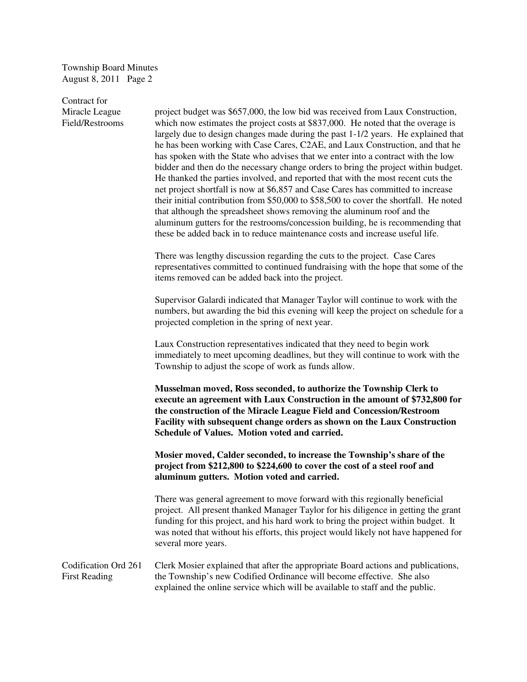Township Board Minutes August 8, 2011 Page 2

Contract for

Miracle League project budget was \$657,000, the low bid was received from Laux Construction, Field/Restrooms which now estimates the project costs at \$837,000. He noted that the overage is largely due to design changes made during the past 1-1/2 years. He explained that he has been working with Case Cares, C2AE, and Laux Construction, and that he has spoken with the State who advises that we enter into a contract with the low bidder and then do the necessary change orders to bring the project within budget. He thanked the parties involved, and reported that with the most recent cuts the net project shortfall is now at \$6,857 and Case Cares has committed to increase their initial contribution from \$50,000 to \$58,500 to cover the shortfall. He noted that although the spreadsheet shows removing the aluminum roof and the aluminum gutters for the restrooms/concession building, he is recommending that these be added back in to reduce maintenance costs and increase useful life.

> There was lengthy discussion regarding the cuts to the project. Case Cares representatives committed to continued fundraising with the hope that some of the items removed can be added back into the project.

> Supervisor Galardi indicated that Manager Taylor will continue to work with the numbers, but awarding the bid this evening will keep the project on schedule for a projected completion in the spring of next year.

 Laux Construction representatives indicated that they need to begin work immediately to meet upcoming deadlines, but they will continue to work with the Township to adjust the scope of work as funds allow.

 **Musselman moved, Ross seconded, to authorize the Township Clerk to execute an agreement with Laux Construction in the amount of \$732,800 for the construction of the Miracle League Field and Concession/Restroom Facility with subsequent change orders as shown on the Laux Construction Schedule of Values. Motion voted and carried.** 

 **Mosier moved, Calder seconded, to increase the Township's share of the project from \$212,800 to \$224,600 to cover the cost of a steel roof and aluminum gutters. Motion voted and carried.** 

There was general agreement to move forward with this regionally beneficial project. All present thanked Manager Taylor for his diligence in getting the grant funding for this project, and his hard work to bring the project within budget. It was noted that without his efforts, this project would likely not have happened for several more years.

Codification Ord 261 Clerk Mosier explained that after the appropriate Board actions and publications, First Reading the Township's new Codified Ordinance will become effective. She also explained the online service which will be available to staff and the public.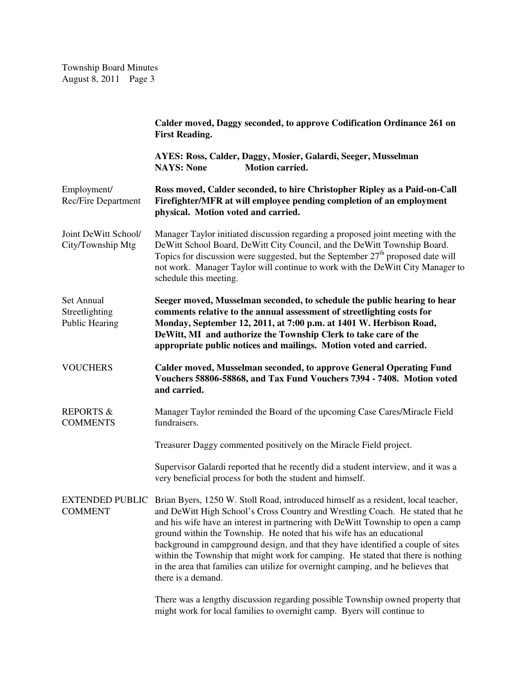|                                                       | Calder moved, Daggy seconded, to approve Codification Ordinance 261 on<br><b>First Reading.</b>                                                                                                                                                                                                                                                                                                                                                                                                                                                                                                                                   |
|-------------------------------------------------------|-----------------------------------------------------------------------------------------------------------------------------------------------------------------------------------------------------------------------------------------------------------------------------------------------------------------------------------------------------------------------------------------------------------------------------------------------------------------------------------------------------------------------------------------------------------------------------------------------------------------------------------|
|                                                       | AYES: Ross, Calder, Daggy, Mosier, Galardi, Seeger, Musselman<br><b>Motion carried.</b><br><b>NAYS: None</b>                                                                                                                                                                                                                                                                                                                                                                                                                                                                                                                      |
| Employment/<br>Rec/Fire Department                    | Ross moved, Calder seconded, to hire Christopher Ripley as a Paid-on-Call<br>Firefighter/MFR at will employee pending completion of an employment<br>physical. Motion voted and carried.                                                                                                                                                                                                                                                                                                                                                                                                                                          |
| Joint DeWitt School/<br>City/Township Mtg             | Manager Taylor initiated discussion regarding a proposed joint meeting with the<br>DeWitt School Board, DeWitt City Council, and the DeWitt Township Board.<br>Topics for discussion were suggested, but the September $27th$ proposed date will<br>not work. Manager Taylor will continue to work with the DeWitt City Manager to<br>schedule this meeting.                                                                                                                                                                                                                                                                      |
| Set Annual<br>Streetlighting<br><b>Public Hearing</b> | Seeger moved, Musselman seconded, to schedule the public hearing to hear<br>comments relative to the annual assessment of streetlighting costs for<br>Monday, September 12, 2011, at 7:00 p.m. at 1401 W. Herbison Road,<br>DeWitt, MI and authorize the Township Clerk to take care of the<br>appropriate public notices and mailings. Motion voted and carried.                                                                                                                                                                                                                                                                 |
| <b>VOUCHERS</b>                                       | Calder moved, Musselman seconded, to approve General Operating Fund<br>Vouchers 58806-58868, and Tax Fund Vouchers 7394 - 7408. Motion voted<br>and carried.                                                                                                                                                                                                                                                                                                                                                                                                                                                                      |
| <b>REPORTS &amp;</b><br><b>COMMENTS</b>               | Manager Taylor reminded the Board of the upcoming Case Cares/Miracle Field<br>fundraisers.                                                                                                                                                                                                                                                                                                                                                                                                                                                                                                                                        |
|                                                       | Treasurer Daggy commented positively on the Miracle Field project.                                                                                                                                                                                                                                                                                                                                                                                                                                                                                                                                                                |
|                                                       | Supervisor Galardi reported that he recently did a student interview, and it was a<br>very beneficial process for both the student and himself.                                                                                                                                                                                                                                                                                                                                                                                                                                                                                   |
| <b>COMMENT</b>                                        | EXTENDED PUBLIC Brian Byers, 1250 W. Stoll Road, introduced himself as a resident, local teacher,<br>and DeWitt High School's Cross Country and Wrestling Coach. He stated that he<br>and his wife have an interest in partnering with DeWitt Township to open a camp<br>ground within the Township. He noted that his wife has an educational<br>background in campground design, and that they have identified a couple of sites<br>within the Township that might work for camping. He stated that there is nothing<br>in the area that families can utilize for overnight camping, and he believes that<br>there is a demand. |
|                                                       | There was a lengthy discussion regarding possible Township owned property that<br>might work for local families to overnight camp. Byers will continue to                                                                                                                                                                                                                                                                                                                                                                                                                                                                         |